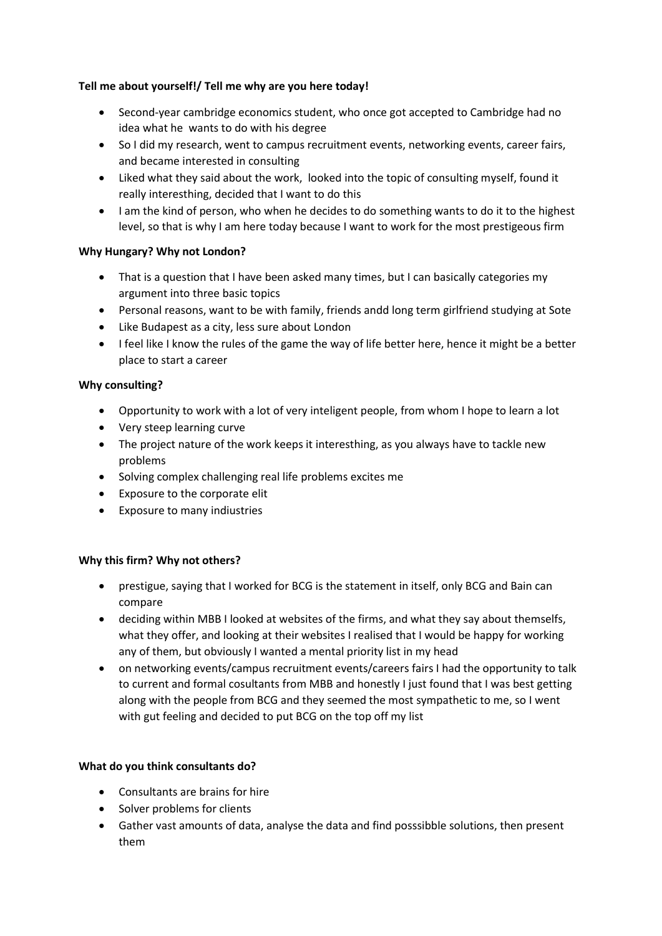## **Tell me about yourself!/ Tell me why are you here today!**

- Second-year cambridge economics student, who once got accepted to Cambridge had no idea what he wants to do with his degree
- So I did my research, went to campus recruitment events, networking events, career fairs, and became interested in consulting
- Liked what they said about the work, looked into the topic of consulting myself, found it really interesthing, decided that I want to do this
- I am the kind of person, who when he decides to do something wants to do it to the highest level, so that is why I am here today because I want to work for the most prestigeous firm

# **Why Hungary? Why not London?**

- That is a question that I have been asked many times, but I can basically categories my argument into three basic topics
- Personal reasons, want to be with family, friends andd long term girlfriend studying at Sote
- Like Budapest as a city, less sure about London
- I feel like I know the rules of the game the way of life better here, hence it might be a better place to start a career

# **Why consulting?**

- Opportunity to work with a lot of very inteligent people, from whom I hope to learn a lot
- Very steep learning curve
- The project nature of the work keeps it interesthing, as you always have to tackle new problems
- Solving complex challenging real life problems excites me
- Exposure to the corporate elit
- Exposure to many indiustries

## **Why this firm? Why not others?**

- prestigue, saying that I worked for BCG is the statement in itself, only BCG and Bain can compare
- deciding within MBB I looked at websites of the firms, and what they say about themselfs, what they offer, and looking at their websites I realised that I would be happy for working any of them, but obviously I wanted a mental priority list in my head
- on networking events/campus recruitment events/careers fairs I had the opportunity to talk to current and formal cosultants from MBB and honestly I just found that I was best getting along with the people from BCG and they seemed the most sympathetic to me, so I went with gut feeling and decided to put BCG on the top off my list

## **What do you think consultants do?**

- Consultants are brains for hire
- Solver problems for clients
- Gather vast amounts of data, analyse the data and find posssibble solutions, then present them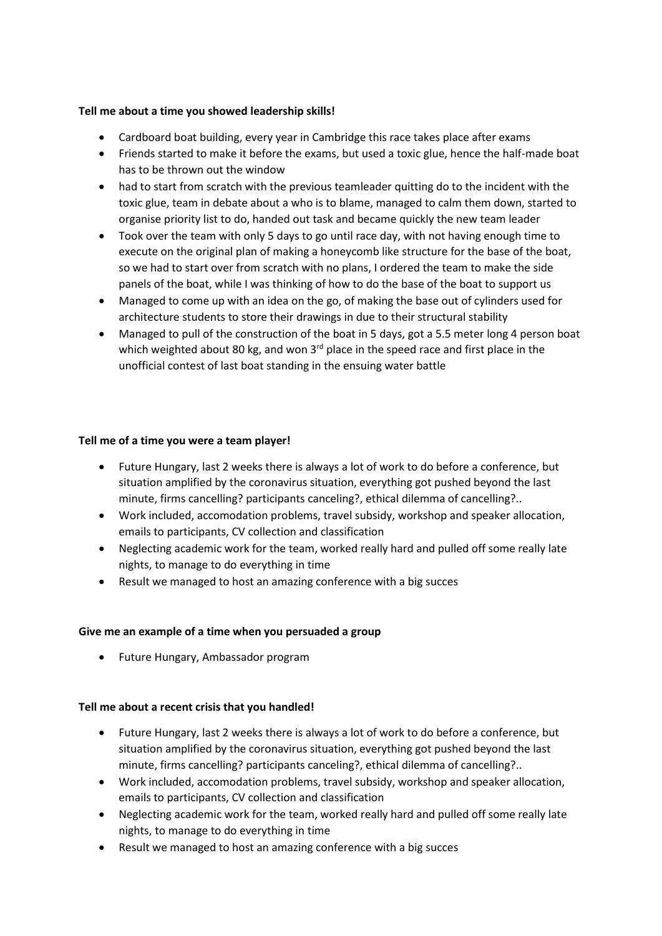### **Tell me about a time you showed leadership skills!**

- Cardboard boat building, every year in Cambridge this race takes place after exams
- Friends started to make it before the exams, but used a toxic glue, hence the half-made boat has to be thrown out the window
- had to start from scratch with the previous teamleader quitting do to the incident with the toxic glue, team in debate about a who is to blame, managed to calm them down, started to organise priority list to do, handed out task and became quickly the new team leader
- Took over the team with only 5 days to go until race day, with not having enough time to execute on the original plan of making a honeycomb like structure for the base of the boat, so we had to start over from scratch with no plans, I ordered the team to make the side panels of the boat, while I was thinking of how to do the base of the boat to support us
- Managed to come up with an idea on the go, of making the base out of cylinders used for architecture students to store their drawings in due to their structural stability
- Managed to pull of the construction of the boat in 5 days, got a 5.5 meter long 4 person boat which weighted about 80 kg, and won  $3<sup>rd</sup>$  place in the speed race and first place in the unofficial contest of last boat standing in the ensuing water battle

### **Tell me of a time you were a team player!**

- Future Hungary, last 2 weeks there is always a lot of work to do before a conference, but situation amplified by the coronavirus situation, everything got pushed beyond the last minute, firms cancelling? participants canceling?, ethical dilemma of cancelling?..
- Work included, accomodation problems, travel subsidy, workshop and speaker allocation, emails to participants, CV collection and classification
- Neglecting academic work for the team, worked really hard and pulled off some really late nights, to manage to do everything in time
- Result we managed to host an amazing conference with a big succes

#### **Give me an example of a time when you persuaded a group**

• Future Hungary, Ambassador program

#### **Tell me about a recent crisis that you handled!**

- Future Hungary, last 2 weeks there is always a lot of work to do before a conference, but situation amplified by the coronavirus situation, everything got pushed beyond the last minute, firms cancelling? participants canceling?, ethical dilemma of cancelling?..
- Work included, accomodation problems, travel subsidy, workshop and speaker allocation, emails to participants, CV collection and classification
- Neglecting academic work for the team, worked really hard and pulled off some really late nights, to manage to do everything in time
- Result we managed to host an amazing conference with a big succes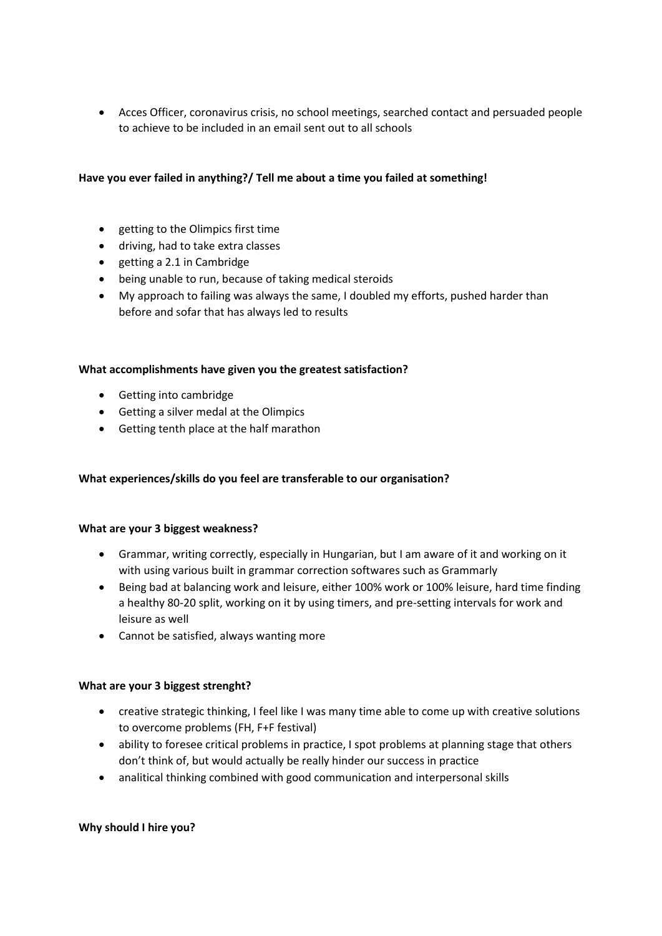• Acces Officer, coronavirus crisis, no school meetings, searched contact and persuaded people to achieve to be included in an email sent out to all schools

### **Have you ever failed in anything?/ Tell me about a time you failed at something!**

- getting to the Olimpics first time
- driving, had to take extra classes
- getting a 2.1 in Cambridge
- being unable to run, because of taking medical steroids
- My approach to failing was always the same, I doubled my efforts, pushed harder than before and sofar that has always led to results

## **What accomplishments have given you the greatest satisfaction?**

- Getting into cambridge
- Getting a silver medal at the Olimpics
- Getting tenth place at the half marathon

#### **What experiences/skills do you feel are transferable to our organisation?**

#### **What are your 3 biggest weakness?**

- Grammar, writing correctly, especially in Hungarian, but I am aware of it and working on it with using various built in grammar correction softwares such as Grammarly
- Being bad at balancing work and leisure, either 100% work or 100% leisure, hard time finding a healthy 80-20 split, working on it by using timers, and pre-setting intervals for work and leisure as well
- Cannot be satisfied, always wanting more

#### **What are your 3 biggest strenght?**

- creative strategic thinking, I feel like I was many time able to come up with creative solutions to overcome problems (FH, F+F festival)
- ability to foresee critical problems in practice, I spot problems at planning stage that others don't think of, but would actually be really hinder our success in practice
- analitical thinking combined with good communication and interpersonal skills

#### **Why should I hire you?**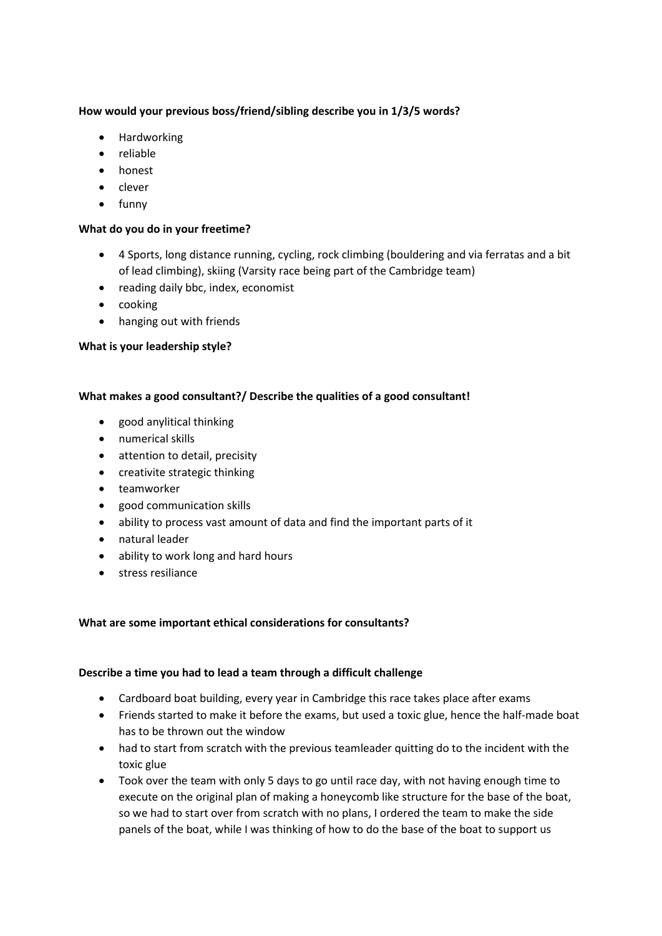## **How would your previous boss/friend/sibling describe you in 1/3/5 words?**

- Hardworking
- reliable
- honest
- clever
- funny

## **What do you do in your freetime?**

- 4 Sports, long distance running, cycling, rock climbing (bouldering and via ferratas and a bit of lead climbing), skiing (Varsity race being part of the Cambridge team)
- reading daily bbc, index, economist
- cooking
- hanging out with friends

### **What is your leadership style?**

## **What makes a good consultant?/ Describe the qualities of a good consultant!**

- good anylitical thinking
- numerical skills
- attention to detail, precisity
- creativite strategic thinking
- teamworker
- good communication skills
- ability to process vast amount of data and find the important parts of it
- natural leader
- ability to work long and hard hours
- stress resiliance

## **What are some important ethical considerations for consultants?**

#### **Describe a time you had to lead a team through a difficult challenge**

- Cardboard boat building, every year in Cambridge this race takes place after exams
- Friends started to make it before the exams, but used a toxic glue, hence the half-made boat has to be thrown out the window
- had to start from scratch with the previous teamleader quitting do to the incident with the toxic glue
- Took over the team with only 5 days to go until race day, with not having enough time to execute on the original plan of making a honeycomb like structure for the base of the boat, so we had to start over from scratch with no plans, I ordered the team to make the side panels of the boat, while I was thinking of how to do the base of the boat to support us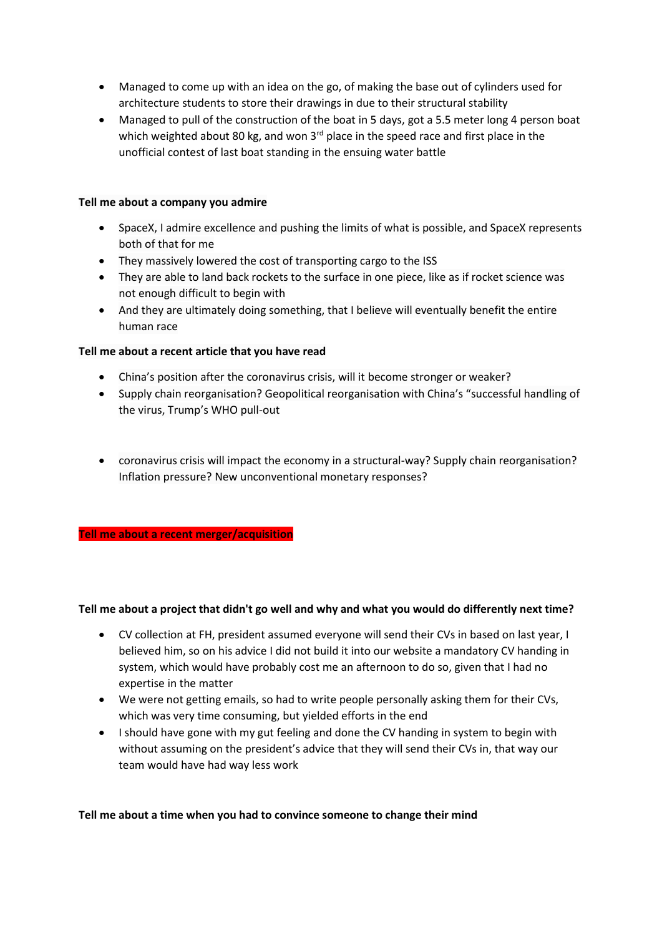- Managed to come up with an idea on the go, of making the base out of cylinders used for architecture students to store their drawings in due to their structural stability
- Managed to pull of the construction of the boat in 5 days, got a 5.5 meter long 4 person boat which weighted about 80 kg, and won  $3<sup>rd</sup>$  place in the speed race and first place in the unofficial contest of last boat standing in the ensuing water battle

#### **Tell me about a company you admire**

- SpaceX, I admire excellence and pushing the limits of what is possible, and SpaceX represents both of that for me
- They massively lowered the cost of transporting cargo to the ISS
- They are able to land back rockets to the surface in one piece, like as if rocket science was not enough difficult to begin with
- And they are ultimately doing something, that I believe will eventually benefit the entire human race

### **Tell me about a recent article that you have read**

- China's position after the coronavirus crisis, will it become stronger or weaker?
- Supply chain reorganisation? Geopolitical reorganisation with China's "successful handling of the virus, Trump's WHO pull-out
- coronavirus crisis will impact the economy in a structural-way? Supply chain reorganisation? Inflation pressure? New unconventional monetary responses?

#### **Tell me about a recent merger/acquisition**

#### **Tell me about a project that didn't go well and why and what you would do differently next time?**

- CV collection at FH, president assumed everyone will send their CVs in based on last year, I believed him, so on his advice I did not build it into our website a mandatory CV handing in system, which would have probably cost me an afternoon to do so, given that I had no expertise in the matter
- We were not getting emails, so had to write people personally asking them for their CVs, which was very time consuming, but yielded efforts in the end
- I should have gone with my gut feeling and done the CV handing in system to begin with without assuming on the president's advice that they will send their CVs in, that way our team would have had way less work

#### **Tell me about a time when you had to convince someone to change their mind**